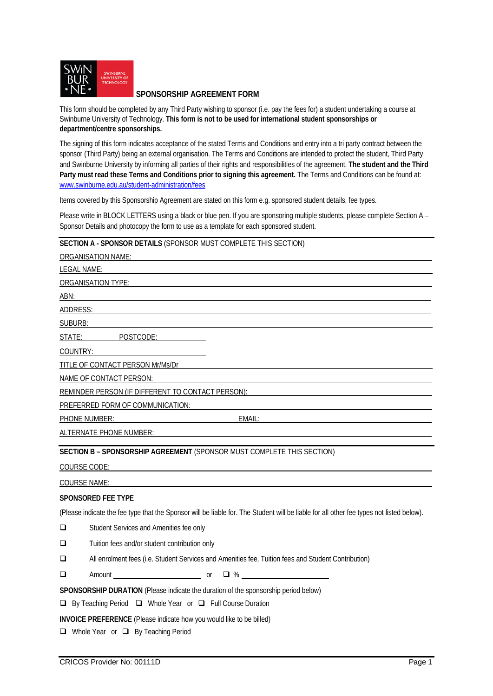

# **SPONSORSHIP AGREEMENT FORM**

This form should be completed by any Third Party wishing to sponsor (i.e. pay the fees for) a student undertaking a course at Swinburne University of Technology. **This form is not to be used for international student sponsorships or department/centre sponsorships.** 

The signing of this form indicates acceptance of the stated Terms and Conditions and entry into a tri party contract between the sponsor (Third Party) being an external organisation. The Terms and Conditions are intended to protect the student, Third Party and Swinburne University by informing all parties of their rights and responsibilities of the agreement. **The student and the Third**  Party must read these Terms and Conditions prior to signing this agreement. The Terms and Conditions can be found at: [www.swinburne.edu.au/student-administration/fees](http://www.swinburne.edu.au/student-administration/fees)

Items covered by this Sponsorship Agreement are stated on this form e.g. sponsored student details, fee types.

Please write in BLOCK LETTERS using a black or blue pen. If you are sponsoring multiple students, please complete Section A – Sponsor Details and photocopy the form to use as a template for each sponsored student.

# **SECTION A - SPONSOR DETAILS** (SPONSOR MUST COMPLETE THIS SECTION)

ORGANISATION NAME: LEGAL NAME: ORGANISATION TYPE: ABN: ADDRESS: SUBURB: STATE: POSTCODE: COUNTRY: TITLE OF CONTACT PERSON Mr/Ms/Dr NAME OF CONTACT PERSON: REMINDER PERSON (IF DIFFERENT TO CONTACT PERSON): PREFERRED FORM OF COMMUNICATION: PHONE NUMBER: EMAIL: ALTERNATE PHONE NUMBER: **SECTION B – SPONSORSHIP AGREEMENT** (SPONSOR MUST COMPLETE THIS SECTION)

COURSE CODE:

### COURSE NAME:

### **SPONSORED FEE TYPE**

(Please indicate the fee type that the Sponsor will be liable for. The Student will be liable for all other fee types not listed below).

Student Services and Amenities fee only

Tuition fees and/or student contribution only

All enrolment fees (i.e. Student Services and Amenities fee, Tuition fees and Student Contribution)

 $\Box$  Amount or  $\Box$  %

**SPONSORSHIP DURATION** (Please indicate the duration of the sponsorship period below)

 $\Box$  By Teaching Period  $\Box$  Whole Year or  $\Box$  Full Course Duration

**INVOICE PREFERENCE** (Please indicate how you would like to be billed)

□ Whole Year or □ By Teaching Period